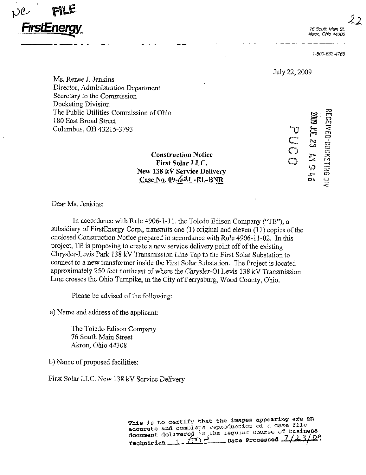Akron, Ohio 44308

1-800'633~4766



Ms, Renee J. Jenkins Director, Administration Department Secretary to the Commission Docketing Division The Public Utilities Commission of Ohio 180 East Broad Street Columbus, OH 43215-3793

> **Construction Notice<br>
> First Solar LLC.** New 138 kV Service Delivery  $C_{\text{max}}$  New  $\frac{0.44 \text{ K}}{24 \text{ K}}$  DND  $\frac{C_{\text{H5V}}}{C_{\text{H5V}}}}$

 $\Xi$  $\sim$  $\bm{\omega}$  $\Xi$ ت:<br>قائم  $\mathbf \Omega$ ;-n m D-DOCKETI  $\widehat{\varpi}$ O D<br>C<br>O<br>O

July 22,2009

Dear Ms. Jenkins:

In accordance with Rule 4906-1-11, the Toledo Edison Company ("TE"). a subsidiary of FirstEnergy Corp., transmits one (1) original and eleven (11) copies of the enclosed Construction Notice prepared in accordance with Rule 4906-11-02. In this project, TE is proposing to create a new service delivery point off of the existing Chrysler-Levis Park 138 kV Transmission Line Tap to the First Solar Substation to connect to a new transformer inside the First Solar Substation. The Project is located approximately 250 feet northeast of where the Chrysler-OI Levis 138 kV Transmission Line crosses the Ohio Turnpike, in the City of Perrysburg, Wood County, Ohio.

Please be advised of the following:

a) Name and address of the applicant:

The Toledo Edison Company 76 South Main Street Akron, Ohio 44308

b) Name of proposed facilities:

First Solar LLC. New 138 kV Service Delivery

This is to certify that the images appearing are an accurate and complete exproduction of a case file document delivered in the regular course of business  $Techn!clan_{1} 1 1 1$   $T^{\prime\prime}$   $\sim$   $Date$  Processed  $4427$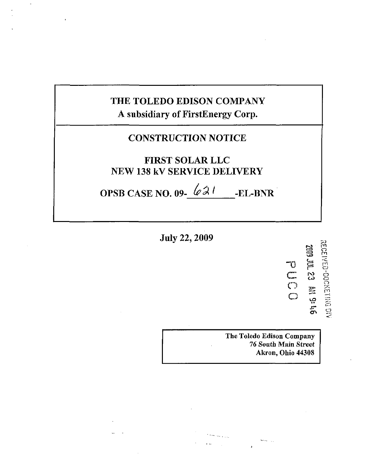# THE TOLEDO EDISON COMPANY A subsidiary of FirstEnergy Corp.

# **CONSTRUCTION NOTICE**

# **FIRST SOLAR LLC NEW 138 kV SERVICE DELIVERY**

OPSB CASE NO. 09- $621$ -EL-BNR

**July 22, 2009** 

**RECEIVED-DOCKETING DIV 2009 JUL 23 RM 9: 46** 

The Toledo Edison Company 76 South Main Street Akron, Ohio 44308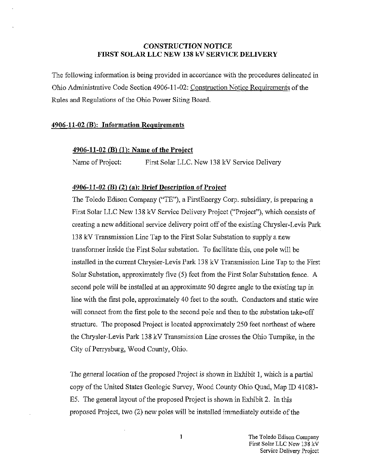## CONSTRUCTION NOTICE FIRST SOLAR LLC NEW 138 kV SERVICE DELIVERY

The following information is being provided in accordance with the procedures delineated in Ohio Administrative Code Section 4906-11-02: Construction Notice Requirements of the Rules and Regulations of the Ohio Power Siting Board.

#### 4906-11-02 (B): Information Requirements

## 4906-11-02 (B) (1): Name of the Project

Name of Project: First Solar LLC. New 138 kV Service Delivery

#### 4906-11-02 (B) (2) (a): Brief Description of Project

The Toledo Edison Company ("TE"), a FirstEnergy Corp. subsidiary, is preparing a First Solar LLC New 138 kV Service Delivery Project ("Project"), which consists of creating a new additional service delivery point off of the existing Chrysler-Levis Park 138 kV Transmission Line Tap to the First Solar Substation to supply a new transformer inside the First Solar substation. To facilitate this, one pole will be installed in the current Chrysler-Levis Park 138 kV Transmission Line Tap to the First Solar Substation, approximately five (5) feet from the First Solar Substation fence. A second pole will be installed at an approximate 90 degree angle to the existing tap in line with the first pole, approximately 40 feet to the south. Conductors and static wire will connect from the first pole to the second pole and then to the substation take-off structure. The proposed Project is located approximately 250 feet northeast of where the Chrysler-Levis Park 138 kV Transmission Line crosses the Ohio Turnpike, in the City of Perrysburg, Wood County, Ohio.

The general location of the proposed Project is shown in Exhibit 1, which is a partial copy of the United States Geologic Survey, Wood County Ohio Quad, Map ID 41083- E5. The general layout of the proposed Project is shown in Exhibit 2. In this proposed Project, two (2) new poles will be installed immediately outside of the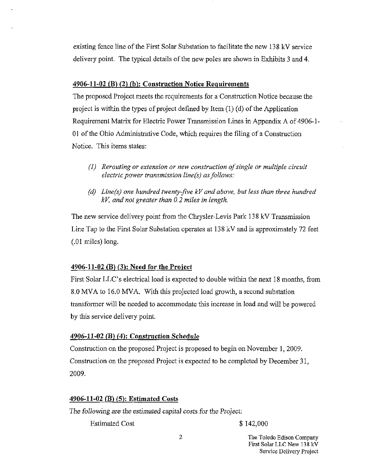existing fence line of the First Solar Substation to facilitate the new 138 kV service delivery point. The typical details of the new poles are shown in Exhibits 3 and 4.

#### 4906-11-02 (B) (2) (h): Construction Notice Requirements

The proposed Project meets the requirements for a Construction Notice because the project is within the types of project defined by Item (1) (d) of the Application Requirement Matrix for Electric Power Transmission Lines in Appendix A of 4906-1- 01 of the Ohio Administrative Code, which requires the filing of a Construction Notice. This items states:

- (I) Rerouting or extension or new construction of single or multiple circuit electric power transmission line(s) as follows:
- (d) Line(s) one hundred twenty-five kV and above, but less than three hundred kV, and not greater than 0.2 miles in length.

The new service delivery point from the Chrysler-Levis Park 138 kV Transmission Line Tap to the First Solar Substation operates at 138 kV and is approximately 72 feet (.01 miles) long.

## 4906-11-02 (B) (3): Need for the Project

First Solar LLC's electrical load is expected to double within the next 18 months, from 8.0 MVA to 16.0 MVA. With this projected load growth, a second substation transformer will be needed to accommodate this increase in load and will be powered by this service delivery point.

## 4906-11-02 (B) (4): Construction Schedule

Construction on the proposed Project is proposed to begin on November 1, 2009. Construction on the proposed Project is expected to be completed by December 31, 2009.

## 4906-11-02 (B) (5): Estimated Costs

The following are the estimated capital costs for the Project:

Estimated Cost \$ 142,000

2 The Toledo Edison Company First Solar LLC New 138 kV Service Delivery Project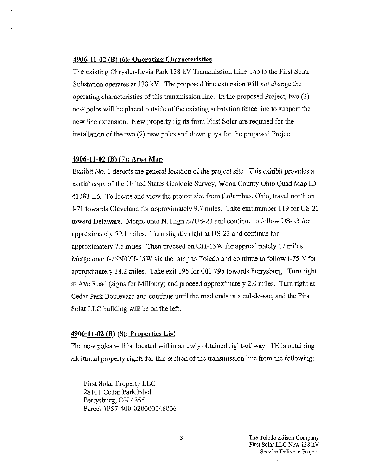### 4906-11-02 (B) (6): Operating Characteristics

The existing Chrysler-Levis Park 138 kV Transmission Line Tap to the First Solar Substafion operates at 138 kV. The proposed line extension will not change the operating characteristics of this transmission line. In the proposed Project, two (2) new poles will be placed outside of the existing substation fence line to support the new line extension. New property rights from First Solar are required for the installation of the two (2) new poles and down guys for the proposed Project.

#### 490641-02 (B) (7): Area Map

Exhibit No. 1 depicts the general location of the project site. This exhibit provides a partial copy of the United States Geologic Survey, Wood County Ohio Quad Map ID 41083-E6. To locate and view the project site from Columbus, Ohio, travel north on 1-71 towards Cleveland for approximately 9.7 miles. Take exit number 119 for US-23 toward Delaware. Merge onto N. High St/US-23 and continue to follow US-23 for approximately 59.1 miles. Turn slightly right at US-23 and continue for approximately 7.5 miles. Then proceed on 0H-15W for approximately 17 miles. Merge onto I-75N/OH-15W via the ramp to Toledo and continue to follow 1-75 N for approximately 38.2 miles. Take exit 195 for OH-795 towards Perrysburg. Turn right at Ave Road (signs for Millbury) and proceed approximately 2.0 miles. Turn right at Cedar Park Boulevard and continue until the road ends in a cul-de-sac, and the First Solar LLC building will be on the left.

#### 4906-11-02 (B) (8): Properties List

The new poles will be located within a newly obtained right-of-way. TE is obtaining additional property rights for this section of the transmission line from the following:

First Solar Property LLC 28101 Cedar Park Blvd. Perrysburg, OH 43551 Parcel #P57-400-020000046006

> The Toledo Edison Company First Solar LLC New 138 kV Service Delivery Project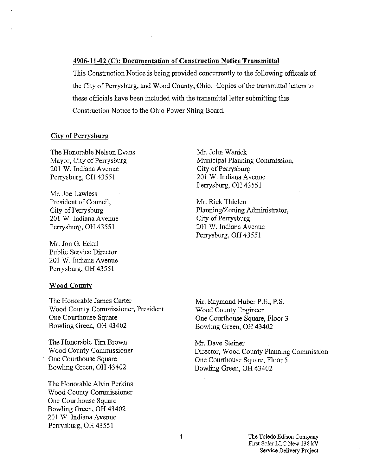#### 4906-11-02 (C): Documentation of Construction Notice Transmittal

This Construction Notice is being provided concurrently to the following officials of the City of Perrysburg, and Wood County, Ohio. Copies of the transmittal letters to these officials have been included with the transmittal letter submitting this Construction Notice to the Ohio Power Siting Board.

#### City of Perrysburg

The Honorable Nelson Evans Mayor, City of Perrysburg 201 W. Indiana Avenue Perrysburg, OH 43551

Mr. Joe Lawless President of Council, City of Perrysburg 201 W. Indiana Avenue Perrysburg, OH 43551

Mr. Jon G. Eckel Public Service Director 201 W. Indiana Avenue Perrysburg, OH 43551

#### Wood County

The Honorable James Carter Wood County Commissioner, President One Courthouse Square Bowling Green, OH 43402

The Honorable Tim Brown Wood County Commissioner One Courthouse Square Bowling Green, OH 43402

The Flonorable Alvin Perkins Wood County Commissioner One Courthouse Square Bowling Green, OH 43402 201 W. Indiana Avenue Perrysburg, OH 43551

Mr. John Wanick Municipal Planning Commission, City of Perrysburg 201 W. Indiana Avenue Perrysburg, OH 43551

Mr. Rick Thielen Planning/Zoning Administrator, City of Perrysburg 201 W. Indiana Avenue Perrysburg, OH 43551

Mr. Raymond Huber P.E., P.S. Wood County Engineer One Courthouse Square, Floor 3 Bowling Green, OH 43402

Mr. Dave Steiner Director, Wood Coimty Planning Commission One Courthouse Square, Floor 5 Bowling Green, OH 43402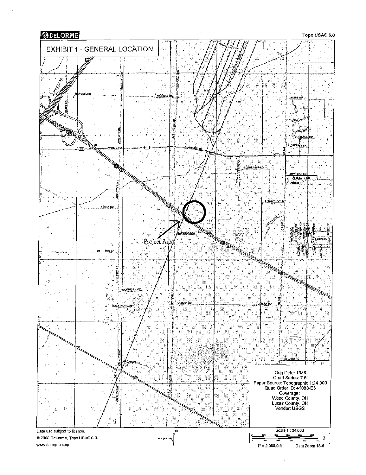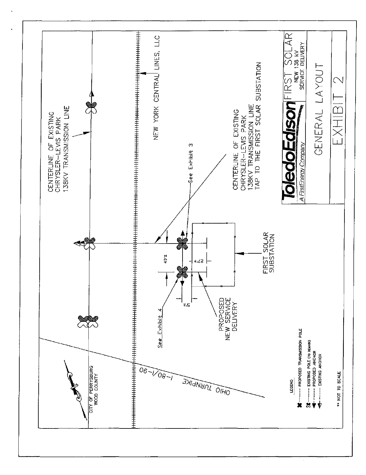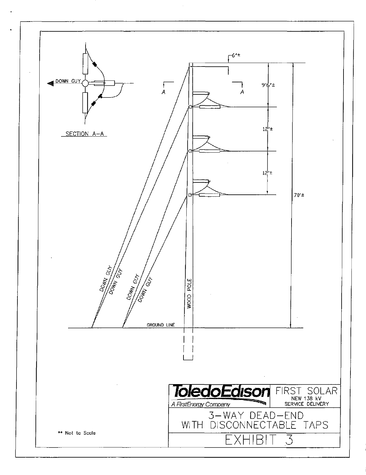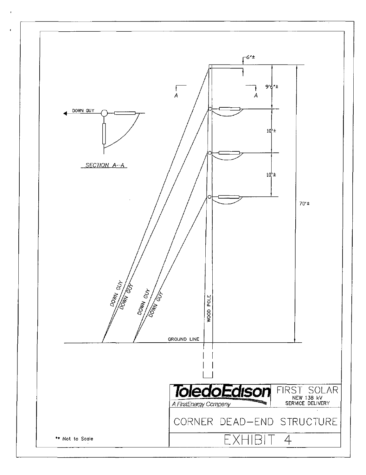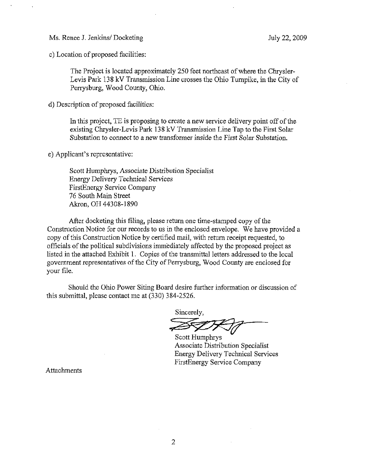Ms. Renee J. Jenkins/ Docketing July 22, 2009

c) Location of proposed facilities:

The Project is located approximately 250 feet northeast of where the Chrysler-Levis Park 138 kV Transmission Line crosses the Ohio Turnpike, in the City of Perrysburg, Wood County, Ohio.

d) Description of proposed facilities:

In this project, TE is proposing to create a new service delivery point off of the existing Chrysler-Levis Park 13 8 kV Transmission Line Tap to the First Solar Substation to connect to a new transformer inside the First Solar Substation.

e) Applicant's representative:

Scott Humphrys, Associate Distribution Specialist Energy Delivery Technical Services FirstEnergy Service Company 76 South Main Street Akron, OH 44308-1890

After docketing this filing, please return one time-stamped copy of the Construction Notice for our records to us in the enclosed envelope. We have provided a copy of this Construction Notice by certified mail, with return receipt requested, to officials of the political subdivisions immediately affected by the proposed project as listed in the attached Exhibit 1. Copies of the transmittal letters addressed to the local government representatives of the City of Perrysburg, Wood County are enclosed for your file.

Should the Ohio Power Siting Board desire farther information or discussion of this submittal, please contact me at (330) 384-2526.

Sincerely,

Scott Humphrys Associate Distribution Specialist Energy Delivery Technical Services FirstEnergy Service Company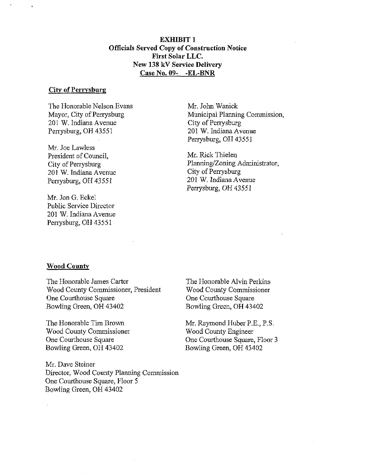EXHIBIT 1 Officials Served Copy of Construction Notice First Solar LLC. New 138 kV Service Delivery Case No. 09- -EL-BNR

#### City of Perrysburg

The Honorable Nelson Evans Mayor, City of Perrysburg 201 W. Indiana Avenue Perrysburg, OH 43551

Mr. Joe Lawless President of Council, City of Perrysburg 201 W. Indiana Avenue Perrysburg, OH 43551

Mr. Jon G. Eckel Public Service Director 201 W. Indiana Avenue Perrysburg, OH 43551

Mr. John Wanick Mimicipal Planning Commission, City of Perrysburg 201 W. Indiana Avenue Perrysburg, OH 43551

Mr. Rick Thielen Planning/Zoning Administrator, City of Perrysburg 201 W. Indiana Avenue Perrysburg, OH 43551

#### Wood County

The Honorable James Carter Wood County Commissioner, President One Courthouse Square Bowling Green, OH 43402

The Honorable Tim Brown Wood County Commissioner One Courthouse Square Bowling Green, OH 43402

Mr. Dave Steiner Director, Wood County Planning Commission One Courthouse Square, Floor 5 Bowling Green, OH 43402

The Honorable Alvin Perkins Wood County Commissioner One Courthouse Square Bowling Green, OH 43402

Mr. Raymond Huber P.E., P.S. Wood County Engineer One Courthouse Square, Floor 3 Bowling Green, OH 43402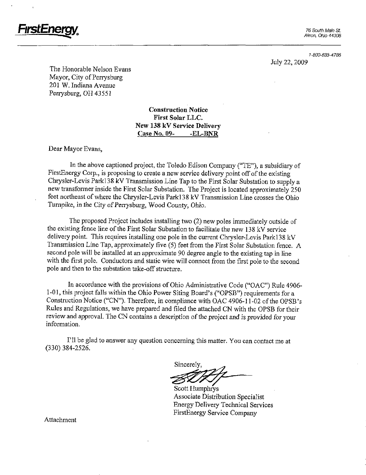

Akron. Ohio 44308

1-800-633-4766 July 22, 2009

The Honorable Nelson Evans Mayor, City of Perrysburg 201 W. Indiana Avenue Perrysburg, OH 43551

> Construction Notice First Solar LLC. New 138 kV Service Delivery Case No. 09- - EL-BNR

Dear Mayor Evans,

In the above captioned project, the Toledo Edison Company ("TE"), a subsidiary of FirstEnergy Corp., is proposing to create a new service delivery point off of the existing Chrysler-Levis Parkl38 kV Transmission Line Tap to the First Solar Substation to supply a new transformer inside the First Solar Substation. The Project is located approximately 250 feet northeast of where the Chrysler-Levis Parkl38 kV Transmission Line crosses the Ohio Turnpike, in the City of Perrysburg, Wood County, Ohio.

The proposed Project includes installing two (2) new poles immediately outside of the existing fence line of the First Solar Substation to facilitate the new 138 kV service delivery point. This requires installing one pole in the current Chrysler-Levis Parkl38 kV Transmission Line Tap, approximately five (5) feet from the First Solar Substation fence. A second pole will be installed at an approximate 90 degree angle to the existing tap in line with the first pole. Conductors and static wire will connect from the first pole to the second pole and then to the substation take-off structure.

In accordance with the provisions of Ohio Administrative Code ("OAC") Rule 4906- 1-01, this project falls within the Ohio Power Siting Board's ("OPSB") requirements for a Construction Notice ("CN"). Therefore, in comphance with OAC 4906-11-02 of the OPSB's Rules and Regulations, we have prepared and filed the attached CN with the OPSB for their review and approval. The CN contains a description of the project and is provided for your information.

I'll be glad to answer any question conceming this matter. You can contact me at (330) 384-2526.

Sincerely.

Scott Humphrys Associate Distribution Specialist Energy Delivery Technical Services FirstEnergy Service Company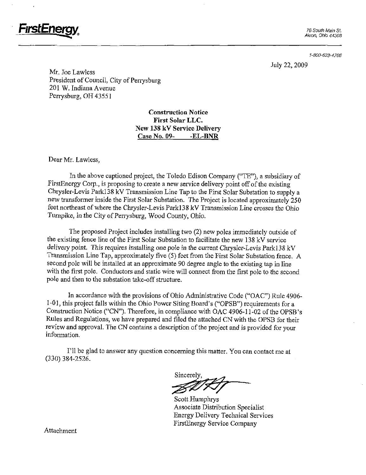![](_page_13_Picture_0.jpeg)

1-800-633-4766

July 22, 2009

Mr. Joe Lawless President of Council, City of Perrysburg 201 W. Indiana Avenue Perrysburg, OH 43551

> Construction Notice First Solar LLC. New 138 kV Service Delivery Case No. 09- -EL-BNR

Dear Mr. Lawless,

In the above captioned project, the Toledo Edison Company ("TE"), a subsidiary of FirstEnergy Corp., is proposing to create a new service delivery point off of the existing Chrysler-Levis Parkl38 kV Transmission Line Tap to the First Solar Substation to supply a new transformer inside the First Solar Substation. The Project is located approximately 250 feet northeast of where the Chrysler-Levis Parkl38 kV Transmission Line crosses the Ohio Turnpike, in the City of Perrysburg, Wood County, Ohio.

The proposed Project includes installing two (2) new poles immediately outside of the existing fence line of the First Solar Substation to facilitate the new 138 kV service delivery point. This requires installing one pole in the current Chrysler-Levis Parkl38 kV Transmission Line Tap, approximately five (5) feet from the First Solar Substation fence. A second pole will be installed at an approximate 90 degree angle to the existing tap in line with the first pole. Conductors and static wire will connect from the first pole to the second pole and then to the substation take-off structure.

In accordance with the provisions of Ohio Administrative Code ("OAC") Rule 4906- 1-01, this project falls within the Ohio Power Siting Board's ("OPSB") requirements for a Construction Notice ("CN"). Therefore, in compliance with OAC 4906-11-02 of the OPSB's Rules and Regulations, we have prepared and filed the attached CN with the OPSB for their review and approval. The CN contains a description of the project and is provided for your information.

I'll be glad to answer any question conceming this matter. You can contact me at (330) 384-2526.

Sincerely r<br>T

Scott Humphrys Associate Distribution Specialist Energy Delivery Technical Services FirstEnergy Service Company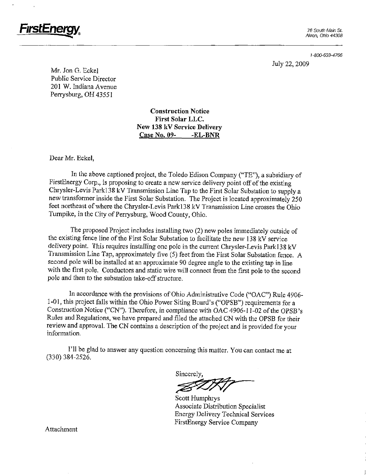![](_page_14_Picture_0.jpeg)

1-800-633-4766

July 22, 2009

Mr. Jon G. Eckel Public Service Director 201 W. Indiana Avenue Perrysburg, OH 43551

> Construction Notice First Solar LLC. New 138 kV Service Delivery Case No. 09- -EL-BNR

Dear Mr. Eckel,

In the above captioned project, the Toledo Edison Company ("TE"), a subsidiary of FirstEnergy Corp., is proposing to create a new service delivery point off of the existing Chrysler-Levis Parkl38 kV Transmission Line Tap to the First Solar Substation to supply a new transformer inside the First Solar Substation. The Project is located approximately 250 feet northeast of where the Chrysler-Levis Parkl38 kV Transmission Line crosses the Ohio Turnpike, in the City of Perrysburg, Wood County, Ohio.

The proposed Project includes installing two (2) new poles immediately outside of the existing fence line of the First Solar Substation to facilitate the new 138 kV service delivery point. This requires installing one pole in the current Chrysler-Levis Park138 kV Transmission Line Tap, approximately five (5) feet from the First Solar Substation fence. A second pole will be installed at an approximate 90 degree angle to the existing tap in line with the first pole. Conductors and static wire will connect from the first pole to the second pole and then to the substation take-off structure.

In accordance with the provisions of Ohio Administrative Code ("OAC") Rule 4906- 1-01, this project falls within the Ohio Power Siting Board's ("OPSB") requirements for a Construction Notice ("CN"). Therefore, in compliance with OAC 4906-11-02 of the OPSB's Rules and Regulations, we have prepared and filed the attached CN with the OPSB for their review and approval. The CN contains a description of the project and is provided for your information.

I'll be glad to answer any question conceming this matter. You can contact me at (330) 384-2526.

Sincerely,

Scott Humphrys Associate Distribution Specialist Energy Delivery Technical Services FirstEnergy Service Company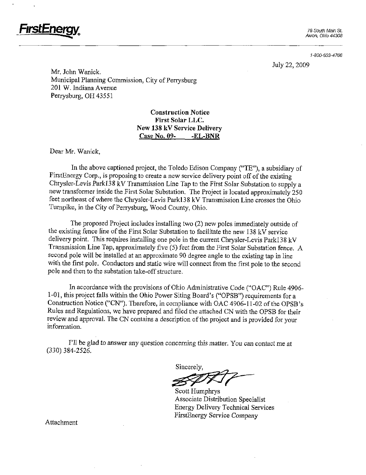![](_page_15_Picture_0.jpeg)

1-800-633-4766

July 22, 2009

Mr. John Wanick. Municipal Planning Commission, City of Perrysburg 201 W. Indiana Avenue Perrysburg, OH 43551

> Construction Notice First Solar LLC. New 138 kV Service Delivery Case No. 09- -EL-BNR

Dear Mr. Wanick,

In the above captioned project, the Toledo Edison Company ("TE"), a subsidiary of FirstEnergy Corp., is proposing to create a new service delivery point off of the existing Chrysler-Levis Parkl38 kV Transmission Line Tap to the First Solar Substation to supply a new transformer inside the First Solar Substation. The Project is located approximately 250 feet northeast of where the Chrysler-Levis Parkl38 kV Transmission Line crosses the Ohio Turnpike, in the City of Perrysburg, Wood County, Ohio.

The proposed Project includes installing two (2) new poles immediately outside of the existing fence line of the First Solar Substation to facilitate the new 138 kV service delivery point. This requires installing one pole in the current Chrysler-Levis Parkl38 kV Transmission Line Tap, approximately five (5) feet from the First Solar Substation fence. A second pole will be installed at an approximate 90 degree angle to the existing tap in line with the first pole. Conductors and static wire will connect from the first pole to the second pole and then to the substation take-off structure.

In accordance with the provisions of Ohio Administrative Code ("OAC") Rule 4906- 1-01, this project falls within the Ohio Power Siting Board's ("OPSB") requirements for a Construction Notice ("CN"). Therefore, in compliance with OAC 4906-11-02 of the OPSB's Rules and Regulations, we have prepared and filed the attached CN with the OPSB for their review and approval. The CN contains a description of the project and is provided for your information.

I'll be glad to answer any question concerning this matter. You can contact me at (330)384-2526.

Sincerely,

Scott Humphrys Associate Distribution Specialist Energy Delivery Technical Services FirstEnergy Service Company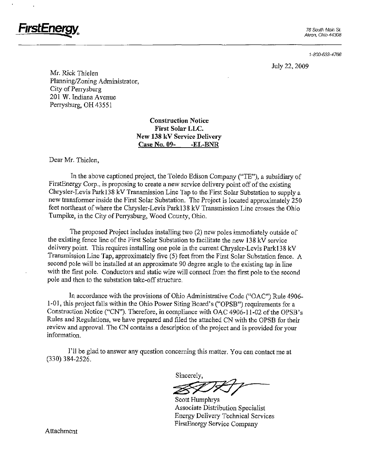![](_page_16_Picture_0.jpeg)

1-800-633-4766

July 22, 2009

Mr. Rick Thielen Planning/Zoning Administrator, City of Perrysburg 201 W. Indiana Avenue Perrysburg, OH 43551

> Construction Notice First Solar LLC. New 138 kV Service Delivery Case No. 09- -EL-BNR

Dear Mr. Thielen,

FirstEnergy^

In the above captioned project, the Toledo Edison Company ("TE"), a subsidiary of FirstEnergy Corp., is proposing to create a new service delivery point off of the existing Chrysler-Levis Parkl38 kV Transmission Line Tap to the First Solar Substation to supply a new transformer inside the First Solar Substation. The Project is located approximately 250 feet northeast of where the Chrysler-Levis Parkl38 kV Transmission Line crosses the Ohio Turnpike, in the City of Perrysburg, Wood County, Ohio.

The proposed Project includes installing two (2) new poles immediately outside of the existing fence line of the First Solar Substation to facilitate the new 138 kV service delivery point. This requires installing one pole in the current Chrysler-Levis Park138 kV Transmission Line Tap, approximately five (5) feet from the First Solar Substation fence. A second pole will be installed at an approximate 90 degree angle to the existing tap in line with the first pole. Conductors and static wire will connect from the first pole to the second pole and then to the substation take-off structure.

In accordance with the provisions of Ohio Administrative Code ("OAC") Rule 4906- 1-01, this project falls within the Ohio Power Siting Board's ("OPSB") requirements for a Construction Notice ("CN"). Therefore, in compliance with OAC 4906-11-02 of the OPSB's Rules and Regulations, we have prepared and filed the attached CN with the OPSB for their review and approval. The CN contains a description of the project and is provided for your information.

Til be glad to answer any question conceming this matter. You can contact me at (330) 384-2526.

Sincerely,

Scott Humphrys Associate Distribution Specialist Energy Delivery Technical Services FirstEnergy Service Company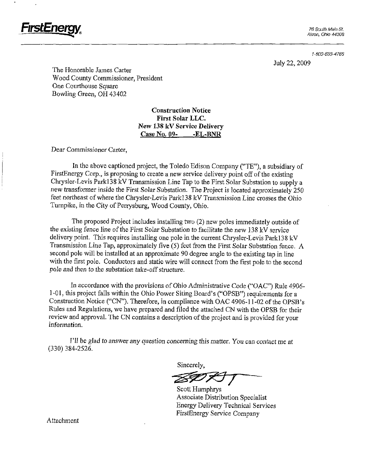![](_page_17_Picture_0.jpeg)

1-800-633-4766

July 22,2009

The Honorable James Carter Wood County Commissioner, President One Courthouse Square Bowling Green, OH 43402

> Construction Notice First Solar LLC. New 138 kV Service Delivery CaseNo. 09- -EL-BNR

Dear Commissioner Carter,

In the above captioned project, the Toledo Edison Company ("TE"), a subsidiary of FirstEnergy Corp., is proposing to create a new service delivery point off of the existing Chrysler-Levis Parkl38 kV Transmission Line Tap to the First Solar Substation to supply a new transformer inside the First Solar Substation. The Project is located approximately 250 feet northeast of where the Chrysler-Levis Parkl38 kV Transmission Line crosses the Ohio Turnpike, in the City of Perrysburg, Wood County, Ohio.

The proposed Project includes installing two (2) new poles immediately outside of the existing fence line of the First Solar Substation to facilitate the new 138 kV service delivery point. This requires installing one pole in the current Chrysler-Levis Parkl38 kV Transmission Line Tap, approximately five (5) feet from the First Solar Substation fence. A second pole will be installed at an approximate 90 degree angle to the existing tap in line with the first pole. Conductors and static wire will connect from the first pole to the second pole and then to the substation take-off structure.

In accordance with the provisions of Ohio Administrative Code ("OAC") Rule 4906- 1-01, this project falls within the Ohio Power Siting Board's ("OPSB") requirements for a Construction Notice ("CN"). Therefore, in compliance with OAC 4906-11-02 of the OPSB's Rules and Regulations, we have prepared and filed the attached CN with the OPSB for their review and approval. The CN contains a description of the project and is provided for your information.

I'll be glad to answer any question concerning this matter. You can contact me at (330)384-2526.

Sincerely,

7

Scott Humphrys Associate Distribution Specialist Energy Delivery Technical Services FirstEnergy Service Company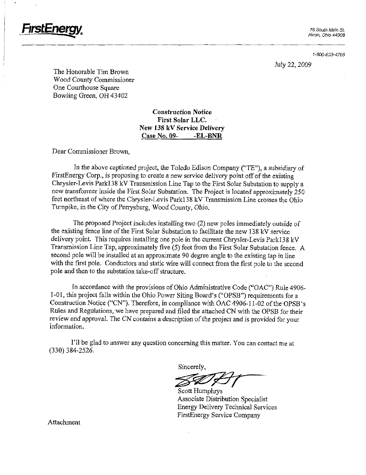FirstEnemv

1-800-633-4766

July 22, 2009

The Honorable Tim Brown Wood County Commissioner One Courthouse Square Bowling Green, OH 43402

> Construction Notice First Solar LLC. New 138 kV Service Delivery Case No. 09- -EL-BNR

Dear Commissioner Brown,

In the above captioned project, the Toledo Edison Company ("TE"), a subsidiary of FirstEnergy Corp., is proposing to create a new service delivery point off of the existing Chrysler-Levis Parkl38 kV Transmission Line Tap to the First Solar Substation to supply a new transformer inside the First Solar Substation. The Project is located approximately 250 feet northeast of where the Chrysler-Levis Parkl38 kV Transmission Line crosses the Ohio Turnpike, in the City of Perrysburg, Wood County, Ohio.

The proposed Project includes installing two (2) new poles immediately outside of the existing fence line of the First Solar Substation to facilitate the new 138 kV service delivery point. This requires installing one pole in the current Chrysler-Levis Parkl38 kV Transmission Line Tap, approximately five (5) feet from the First Solar Substation fence. A second pole will be installed at an approximate 90 degree angle to the existing tap in line with the first pole. Conductors and static wire will connect from the first pole to the second pole and then to the substation take-off structure.

In accordance with the provisions of Ohio Administrative Code ("OAC") Rule 4906- 1-01, this project falls within the Ohio Power Siting Board's ("OPSB") requirements for a Construction Notice ("CN"). Therefore, in compliance with OAC 4906-11-02 of the OPSB's Rules and Regulations, we have prepared and filed the attached CN with the OPSB for their review and approval. The CN contains a description of the project and is provided for your information.

I'll be glad to answer any question conceming this matter. You can contact me at (330) 384-2526.

Sincerely,

Scott Humphrys Associate Distribution Specialist Energy Delivery Technical Services FirstEnergy Service Company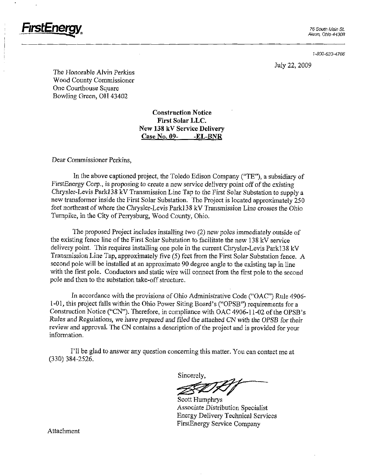![](_page_19_Picture_0.jpeg)

1-800-633-4766

July 22, 2009

The Honorable Alvin Perkins Wood County Commissioner One Courthouse Square Bowling Green, OH 43402

> Construction Notice First Solar LLC. New 138 kV Service Delivery Case No. 09- -EL-BNR

Dear Commissioner Perkins,

In the above captioned project, the Toledo Edison Company ("TE"), a subsidiary of FirstEnergy Corp., is proposing to create a new service delivery point off of the existing Chrysler-Levis Parkl38 kV Transmission Line Tap to the First Solar Substation to supply a new transformer inside the First Solar Substation. The Project is located approximately 250 feet northeast of where the Chrysler-Levis Parkl38 kV Transmission Line crosses the Ohio Turnpike, in the City of Perrysburg, Wood County, Ohio.

The proposed Project includes installing two (2) new poles immediately outside of the existing fence line of the First Solar Substation to facilitate the new 138 kV service deliveiy point. This requires installing one pole in the current Chrysler-Levis Parkl38 kV Transmission Line Tap, approximately five (5) feet from the First Solar Substation fence, A second pole will be installed at an approximate 90 degree angle to the existing tap in line with the first pole. Conductors and static wire will connect from the first pole to the second pole and then to the substation take-off structure.

In accordance with the provisions of Ohio Administrative Code ("OAC") Rule 4906- 1-01, this project falls within the Ohio Power Siting Board's ("OPSB") requirements for a Construction Notice ("CN"). Therefore, in compliance with OAC 4906-11-02 of the OPSB's Rules and Regulations, we have prepared and filed the attached CN with the OPSB for their review and approval. The CN contains a description of the project and is provided for your information.

Til be glad to answer any question conceming this matter. You can contact me at (330) 384-2526.

Sincerely,

Scott Humphrys Associate Distribution Specialist Energy Delivery Technical Services FirstEnergy Service Company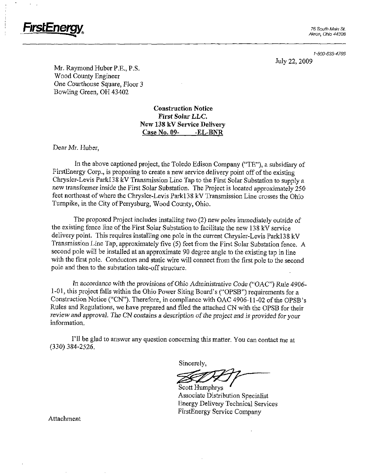![](_page_20_Picture_0.jpeg)

Akron, Ohio 44308

1-800-633-4766 July 22, 2009

Mr. Raymond Huber P.E., P.S. Wood County Engineer One Courthouse Square, Floor 3 Bowling Green, OH 43402

> Construction Notice First Solar LLC. New 138 kV Service Delivery Case No. 09- -EL-BNR

Dear Mr. Huber,

In the above captioned project, the Toledo Edison Company ("TE"), a subsidiary of FirstEnergy Corp., is proposing to create a new service delivery point off of the existing Chrysler-Levis Parkl38 kV Transmission Line Tap to the First Solar Substation to supply a new transformer inside the First Solar Substation. The Project is located approximately 250 feet northeast of where the Chrysler-Levis Parkl38 kV Transmission Line crosses the Ohio Turnpike, in the City of Perrysburg, Wood County, Ohio.

The proposed Project includes installing two (2) new poles immediately outside of the existing fence line of the First Solar Substation to facilitate the new 138 kV service delivery point. This requires installing one pole in the current Chrysler-Levis Parkl38 kV Transmission Line Tap, approximately five (5) feet from the First Solar Substation fence. A second pole will be installed at an approximate 90 degree angle to the existing tap in line with the first pole. Conductors and static wire will connect from the first pole to the second pole and then to the substation take-off structure.

In accordance with the provisions of Ohio Administrative Code ("OAC") Rule 4906- 1-01, this project falls within the Ohio Power Siting Board's ("OPSB") requirements for a Construction Notice ("CN"). Therefore, in compliance with OAC 4906-11-02 of the OPSB's Rules and Regulations, we have prepared and filed the attached CN with the OPSB for their review and approval. The CN contains a description of the project and is provided for your information.

I'll be glad to answer any question concerning this matter. You can contact me at (330)384-2526.

Sincerely,

Scott Humphrys Associate Distribution Specialist Energy Delivery Technical Services FirstEnergy Service Company